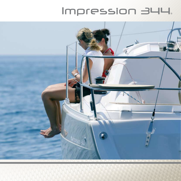## Impression 344.

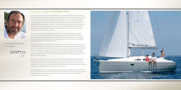## Exllency in design **Impression 344**

Rob Humphreys is an award-winning designer known internationally for his expertise in designing sailing yachts that successfully combine fast, modern hulls with all the comfort and convenience demanded by today's cruising sailor. The Humphreys design team has an enviable track record of designing racing boats for the world's leading events, including the America's Cup and the Whitbread Round the World Race, as well as for leading sailors such as Ellen MacArthur. In parallel with its ground-breaking racing work Humphreys Yacht Design has built a reputation for consistently creating popular and capable cruising boat ranges for internationally known builders such as Elan Marine, Oyster Marine and Northshore Yachts.

"Working on the Impression 344 has been a very interesting task because it takes the Impression ethos of comfortable living down into the most competitive sector of the family cruising yacht market. Her distinctive looks immediately mark her out as an Impression, but the overall design has enabled us to produce the feel of an altogether bigger boat than her 10 metre hull length.

The Impression concept is all about creating an onboard environment that is easy to live with over a long period, and in this respect the Impression 344 will invite long stay-aboard periods. And with a fine turn of speed under sail and power, she will offer her owner considerable cruising scope.,





" A new experience in cruising.



We were very conscious that this size of sailing boat is popular with cruising families and charterers throughout the sailing world, putting space both above and below decks at a premium. By making maximum use of the volume inside the generously proportioned hull we have created an exceptionally roomy and airy boat that provides more living space then many boats of considerably greater length. The saloon, galley, heads; all feel as though they belong to a much larger craft, characterised by extravagant headroom and plenty of natural daylight.

On deck we continued the theme of easy spaciousness by creating a cockpit with the space to seat the crew in comfort around a permanent table, while providing nearby corner seats mounted on the pushpit to give panoramic views from a snug and secure vantage point. All sail controls have been also been brought back to the cockpit, enabling the boat to be easily handled by a small crew if required.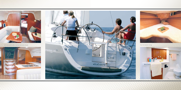

An exceptionally roomy and airy boat.







Comfortable living.

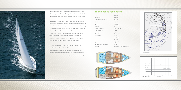## Technical specification:

| LOA                  | 9.99 <sub>m</sub>     |
|----------------------|-----------------------|
| Hull lenght          | 9.99 <sub>m</sub>     |
| Lenght at waterline  | 8,79 m                |
| Beam                 | 3.49 <sub>m</sub>     |
| Draft                | $1,60 \; m$           |
| Displacment          | 5750 kg               |
| Engine               | 20 / 30 hp            |
| Water capacity       | 238 / 468             |
| Fuel capacity        | 1101                  |
| Main sail            | $26,85 \text{ m}^2$   |
| Genoa                | $33,33 \text{ m}^2$   |
| Spinnaker            | $84 \text{ m}^2$      |
| I                    | 12,60 m               |
| J                    | 3,70 m                |
| P                    | 11,64 m               |
| Ε                    | 4,01 m                |
| Boat design category | CE A                  |
| Design               | Humpreys Yahts design |
|                      |                       |









The Impression 344, the third in Elan's Cruising range is absolutely sensational, offering a host of features that will be greatly valued by cruising families, friends and couples.

The boat is distinctive in design, style and comfort, with more than 25% bigger volume compared to the boats of its size. The spacious cabins, head and shower are absolutely first – class, with stunning accommodations and plenty of storage. The semi – deck saloon offers supreme comfort with flowing space, a welcoming ambience, panoramic windows and its lightwood interior. The comfortable cockpit leads to a large swimming platform for days of relaxation, entertaining and pleasurable cruising.

Exceptional seaworthiness in its class, well thought – out design, volume distribution and layout of deck and hardware all contribute to easy handling without compromising boat performance. Its design pedigree is the best testament to its serious, fast bluewater cruising.